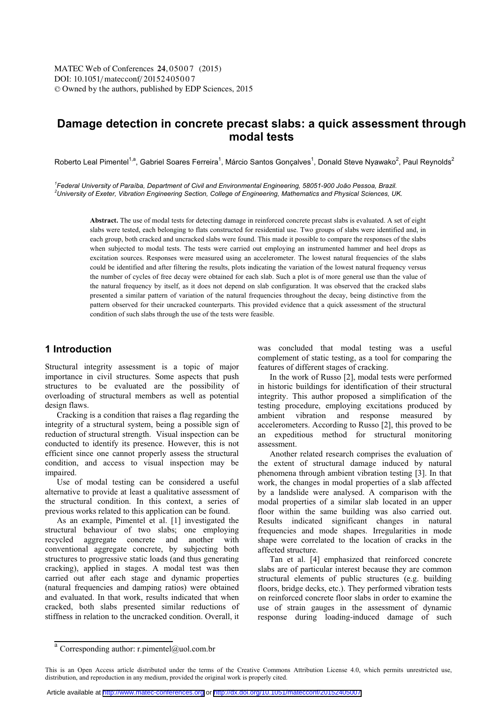DOI: 10.1051/ matecconf/ 20152405007 -<sup>C</sup> Owned by the authors, published by EDP Sciences, 2015 MATEC Web of Conferences 24,05007 (2015)

# **Damage detection in concrete precast slabs: a quick assessment through modal tests**

Roberto Leal Pimentel<sup>1,a</sup>, Gabriel Soares Ferreira<sup>1</sup>, Márcio Santos Goncalves<sup>1</sup>, Donald Steve Nyawako<sup>2</sup>, Paul Reynolds<sup>2</sup>

<sup>1</sup> Federal University of Paraíba, Department of Civil and Environmental Engineering, 58051-900 João Pessoa, Brazil.<br><sup>2</sup> University of Exeter Vibration Engineering Section, Cellege of Engineering, Mathematics and Physical *University of Exeter, Vibration Engineering Section, College of Engineering, Mathematics and Physical Sciences, UK.*

> **Abstract.** The use of modal tests for detecting damage in reinforced concrete precast slabs is evaluated. A set of eight slabs were tested, each belonging to flats constructed for residential use. Two groups of slabs were identified and, in each group, both cracked and uncracked slabs were found. This made it possible to compare the responses of the slabs when subjected to modal tests. The tests were carried out employing an instrumented hammer and heel drops as excitation sources. Responses were measured using an accelerometer. The lowest natural frequencies of the slabs could be identified and after filtering the results, plots indicating the variation of the lowest natural frequency versus the number of cycles of free decay were obtained for each slab. Such a plot is of more general use than the value of the natural frequency by itself, as it does not depend on slab configuration. It was observed that the cracked slabs presented a similar pattern of variation of the natural frequencies throughout the decay, being distinctive from the pattern observed for their uncracked counterparts. This provided evidence that a quick assessment of the structural condition of such slabs through the use of the tests were feasible.

### **1 Introduction**

Structural integrity assessment is a topic of major importance in civil structures. Some aspects that push structures to be evaluated are the possibility of overloading of structural members as well as potential design flaws.

Cracking is a condition that raises a flag regarding the integrity of a structural system, being a possible sign of reduction of structural strength. Visual inspection can be conducted to identify its presence. However, this is not efficient since one cannot properly assess the structural condition, and access to visual inspection may be impaired.

Use of modal testing can be considered a useful alternative to provide at least a qualitative assessment of the structural condition. In this context, a series of previous works related to this application can be found.

As an example, Pimentel et al. [1] investigated the structural behaviour of two slabs; one employing recycled aggregate concrete and another with conventional aggregate concrete, by subjecting both structures to progressive static loads (and thus generating cracking), applied in stages. A modal test was then carried out after each stage and dynamic properties (natural frequencies and damping ratios) were obtained and evaluated. In that work, results indicated that when cracked, both slabs presented similar reductions of stiffness in relation to the uncracked condition. Overall, it was concluded that modal testing was a useful complement of static testing, as a tool for comparing the features of different stages of cracking.

In the work of Russo [2], modal tests were performed in historic buildings for identification of their structural integrity. This author proposed a simplification of the testing procedure, employing excitations produced by ambient vibration and response measured by accelerometers. According to Russo [2], this proved to be an expeditious method for structural monitoring assessment.

Another related research comprises the evaluation of the extent of structural damage induced by natural phenomena through ambient vibration testing [3]. In that work, the changes in modal properties of a slab affected by a landslide were analysed. A comparison with the modal properties of a similar slab located in an upper floor within the same building was also carried out. Results indicated significant changes in natural frequencies and mode shapes. Irregularities in mode shape were correlated to the location of cracks in the affected structure.

Tan et al. [4] emphasized that reinforced concrete slabs are of particular interest because they are common structural elements of public structures (e.g. building floors, bridge decks, etc.). They performed vibration tests on reinforced concrete floor slabs in order to examine the use of strain gauges in the assessment of dynamic response during loading-induced damage of such

<sup>a</sup> Corresponding author: r.pimentel@uol.com.br

This is an Open Access article distributed under the terms of the Creative Commons Attribution License 4.0, which permits unrestricted use, distribution, and reproduction in any medium, provided the original work is properly cited.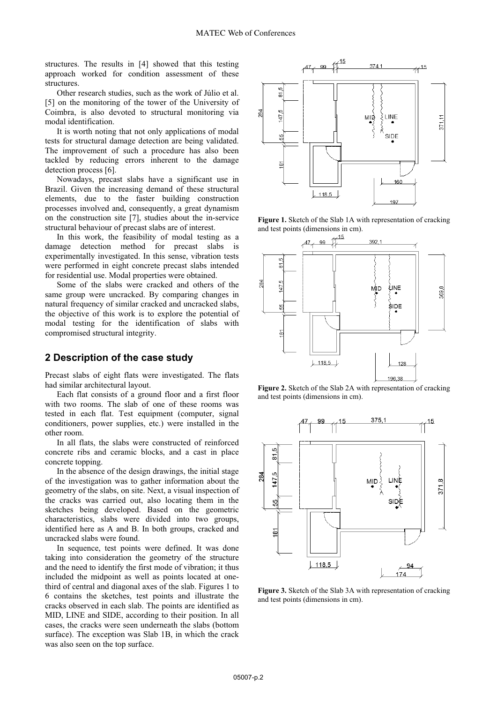structures. The results in [4] showed that this testing approach worked for condition assessment of these structures.

Other research studies, such as the work of Júlio et al. [5] on the monitoring of the tower of the University of Coimbra, is also devoted to structural monitoring via modal identification.

It is worth noting that not only applications of modal tests for structural damage detection are being validated. The improvement of such a procedure has also been tackled by reducing errors inherent to the damage detection process [6].

Nowadays, precast slabs have a significant use in Brazil. Given the increasing demand of these structural elements, due to the faster building construction processes involved and, consequently, a great dynamism on the construction site [7], studies about the in-service structural behaviour of precast slabs are of interest.

In this work, the feasibility of modal testing as a damage detection method for precast slabs is experimentally investigated. In this sense, vibration tests were performed in eight concrete precast slabs intended for residential use. Modal properties were obtained.

Some of the slabs were cracked and others of the same group were uncracked. By comparing changes in natural frequency of similar cracked and uncracked slabs, the objective of this work is to explore the potential of modal testing for the identification of slabs with compromised structural integrity.

### **2 Description of the case study**

Precast slabs of eight flats were investigated. The flats had similar architectural layout.

Each flat consists of a ground floor and a first floor with two rooms. The slab of one of these rooms was tested in each flat. Test equipment (computer, signal conditioners, power supplies, etc.) were installed in the other room.

In all flats, the slabs were constructed of reinforced concrete ribs and ceramic blocks, and a cast in place concrete topping.

In the absence of the design drawings, the initial stage of the investigation was to gather information about the geometry of the slabs, on site. Next, a visual inspection of the cracks was carried out, also locating them in the sketches being developed. Based on the geometric characteristics, slabs were divided into two groups, identified here as A and B. In both groups, cracked and uncracked slabs were found.

In sequence, test points were defined. It was done taking into consideration the geometry of the structure and the need to identify the first mode of vibration; it thus included the midpoint as well as points located at onethird of central and diagonal axes of the slab. Figures 1 to 6 contains the sketches, test points and illustrate the cracks observed in each slab. The points are identified as MID, LINE and SIDE, according to their position. In all cases, the cracks were seen underneath the slabs (bottom surface). The exception was Slab 1B, in which the crack was also seen on the top surface.



**Figure 1.** Sketch of the Slab 1A with representation of cracking and test points (dimensions in cm).



**Figure 2.** Sketch of the Slab 2A with representation of cracking and test points (dimensions in cm).



**Figure 3.** Sketch of the Slab 3A with representation of cracking and test points (dimensions in cm).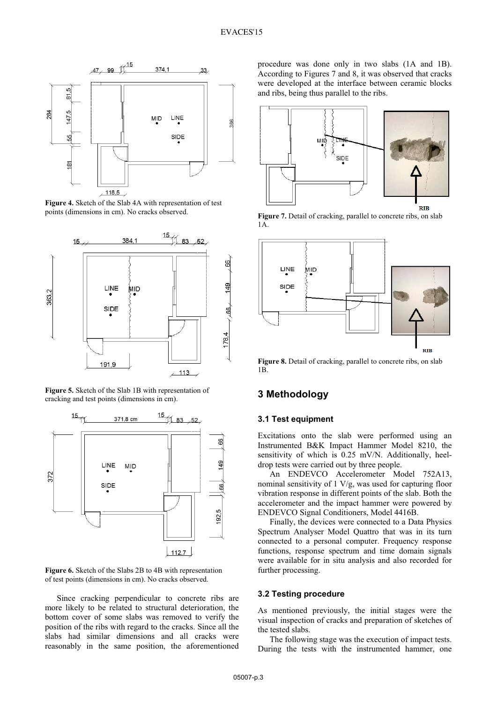

**Figure 4.** Sketch of the Slab 4A with representation of test points (dimensions in cm). No cracks observed.



**Figure 5.** Sketch of the Slab 1B with representation of cracking and test points (dimensions in cm).



**Figure 6.** Sketch of the Slabs 2B to 4B with representation of test points (dimensions in cm). No cracks observed.

Since cracking perpendicular to concrete ribs are more likely to be related to structural deterioration, the bottom cover of some slabs was removed to verify the position of the ribs with regard to the cracks. Since all the slabs had similar dimensions and all cracks were reasonably in the same position, the aforementioned

procedure was done only in two slabs (1A and 1B). According to Figures 7 and 8, it was observed that cracks were developed at the interface between ceramic blocks and ribs, being thus parallel to the ribs.



**Figure 7.** Detail of cracking, parallel to concrete ribs, on slab 1A.



Figure 8. Detail of cracking, parallel to concrete ribs, on slab 1B.

## **3 Methodology**

#### **3.1 Test equipment**

Excitations onto the slab were performed using an Instrumented B&K Impact Hammer Model 8210, the sensitivity of which is 0.25 mV/N. Additionally, heeldrop tests were carried out by three people.

An ENDEVCO Accelerometer Model 752A13, nominal sensitivity of 1 V/g, was used for capturing floor vibration response in different points of the slab. Both the accelerometer and the impact hammer were powered by ENDEVCO Signal Conditioners, Model 4416B.

Finally, the devices were connected to a Data Physics Spectrum Analyser Model Quattro that was in its turn connected to a personal computer. Frequency response functions, response spectrum and time domain signals were available for in situ analysis and also recorded for further processing.

#### **3.2 Testing procedure**

As mentioned previously, the initial stages were the visual inspection of cracks and preparation of sketches of the tested slabs.

The following stage was the execution of impact tests. During the tests with the instrumented hammer, one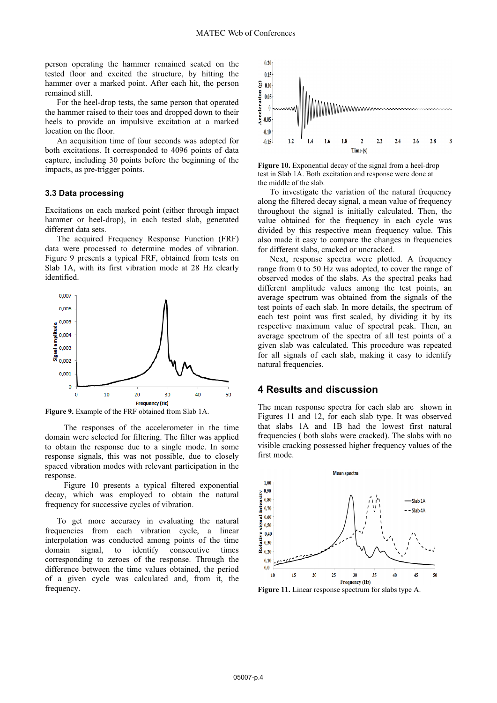person operating the hammer remained seated on the tested floor and excited the structure, by hitting the hammer over a marked point. After each hit, the person remained still.

For the heel-drop tests, the same person that operated the hammer raised to their toes and dropped down to their heels to provide an impulsive excitation at a marked location on the floor.

An acquisition time of four seconds was adopted for both excitations. It corresponded to 4096 points of data capture, including 30 points before the beginning of the impacts, as pre-trigger points.

#### **3.3 Data processing**

Excitations on each marked point (either through impact hammer or heel-drop), in each tested slab, generated different data sets.

The acquired Frequency Response Function (FRF) data were processed to determine modes of vibration. Figure 9 presents a typical FRF, obtained from tests on Slab 1A, with its first vibration mode at 28 Hz clearly identified.



**Figure 9.** Example of the FRF obtained from Slab 1A.

The responses of the accelerometer in the time domain were selected for filtering. The filter was applied to obtain the response due to a single mode. In some response signals, this was not possible, due to closely spaced vibration modes with relevant participation in the response.

Figure 10 presents a typical filtered exponential decay, which was employed to obtain the natural frequency for successive cycles of vibration.

To get more accuracy in evaluating the natural frequencies from each vibration cycle, a linear interpolation was conducted among points of the time domain signal, to identify consecutive times corresponding to zeroes of the response. Through the difference between the time values obtained, the period of a given cycle was calculated and, from it, the frequency.



Figure 10. Exponential decay of the signal from a heel-drop test in Slab 1A. Both excitation and response were done at the middle of the slab.

To investigate the variation of the natural frequency along the filtered decay signal, a mean value of frequency throughout the signal is initially calculated. Then, the value obtained for the frequency in each cycle was divided by this respective mean frequency value. This also made it easy to compare the changes in frequencies for different slabs, cracked or uncracked.

Next, response spectra were plotted. A frequency range from 0 to 50 Hz was adopted, to cover the range of observed modes of the slabs. As the spectral peaks had different amplitude values among the test points, an average spectrum was obtained from the signals of the test points of each slab. In more details, the spectrum of each test point was first scaled, by dividing it by its respective maximum value of spectral peak. Then, an average spectrum of the spectra of all test points of a given slab was calculated. This procedure was repeated for all signals of each slab, making it easy to identify natural frequencies.

### **4 Results and discussion**

The mean response spectra for each slab are shown in Figures 11 and 12, for each slab type. It was observed that slabs 1A and 1B had the lowest first natural frequencies ( both slabs were cracked). The slabs with no visible cracking possessed higher frequency values of the first mode.



**Figure 11.** Linear response spectrum for slabs type A.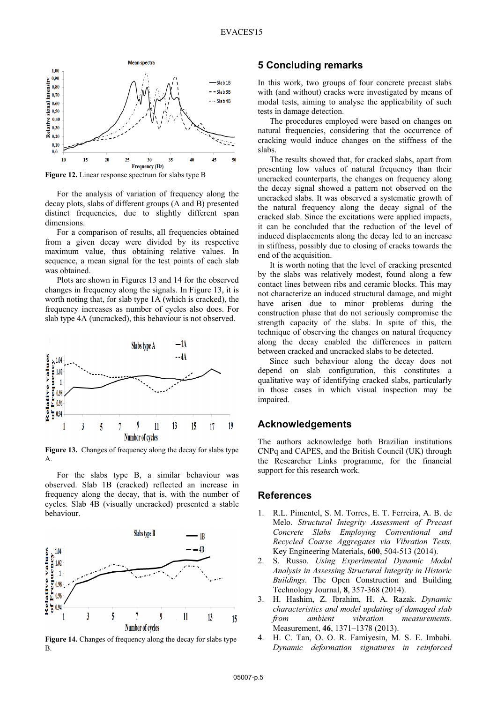

**Figure 12.** Linear response spectrum for slabs type B

For the analysis of variation of frequency along the decay plots, slabs of different groups (A and B) presented distinct frequencies, due to slightly different span dimensions.

For a comparison of results, all frequencies obtained from a given decay were divided by its respective maximum value, thus obtaining relative values. In sequence, a mean signal for the test points of each slab was obtained.

Plots are shown in Figures 13 and 14 for the observed changes in frequency along the signals. In Figure 13, it is worth noting that, for slab type 1A (which is cracked), the frequency increases as number of cycles also does. For slab type 4A (uncracked), this behaviour is not observed.



**Figure 13.** Changes of frequency along the decay for slabs type A.

For the slabs type B, a similar behaviour was observed. Slab 1B (cracked) reflected an increase in frequency along the decay, that is, with the number of cycles. Slab 4B (visually uncracked) presented a stable behaviour.



Figure 14. Changes of frequency along the decay for slabs type B.

### **5 Concluding remarks**

In this work, two groups of four concrete precast slabs with (and without) cracks were investigated by means of modal tests, aiming to analyse the applicability of such tests in damage detection.

The procedures employed were based on changes on natural frequencies, considering that the occurrence of cracking would induce changes on the stiffness of the slabs.

The results showed that, for cracked slabs, apart from presenting low values of natural frequency than their uncracked counterparts, the changes on frequency along the decay signal showed a pattern not observed on the uncracked slabs. It was observed a systematic growth of the natural frequency along the decay signal of the cracked slab. Since the excitations were applied impacts, it can be concluded that the reduction of the level of induced displacements along the decay led to an increase in stiffness, possibly due to closing of cracks towards the end of the acquisition.

It is worth noting that the level of cracking presented by the slabs was relatively modest, found along a few contact lines between ribs and ceramic blocks. This may not characterize an induced structural damage, and might have arisen due to minor problems during the construction phase that do not seriously compromise the strength capacity of the slabs. In spite of this, the technique of observing the changes on natural frequency along the decay enabled the differences in pattern between cracked and uncracked slabs to be detected.

Since such behaviour along the decay does not depend on slab configuration, this constitutes a qualitative way of identifying cracked slabs, particularly in those cases in which visual inspection may be impaired.

### **Acknowledgements**

The authors acknowledge both Brazilian institutions CNPq and CAPES, and the British Council (UK) through the Researcher Links programme, for the financial support for this research work.

#### **References**

- 1. R.L. Pimentel, S. M. Torres, E. T. Ferreira, A. B. de Melo. *Structural Integrity Assessment of Precast Concrete Slabs Employing Conventional and Recycled Coarse Aggregates via Vibration Tests.* Key Engineering Materials, **600**, 504-513 (2014).
- 2. S. Russo. *Using Experimental Dynamic Modal Analysis in Assessing Structural Integrity in Historic Buildings*. The Open Construction and Building Technology Journal, **8**, 357-368 (2014).
- 3. H. Hashim, Z. Ibrahim, H. A. Razak. *Dynamic characteristics and model updating of damaged slab from ambient vibration measurements*. Measurement, **46**, 1371–1378 (2013).
- 4. H. C. Tan, O. O. R. Famiyesin, M. S. E. Imbabi. *Dynamic deformation signatures in reinforced*